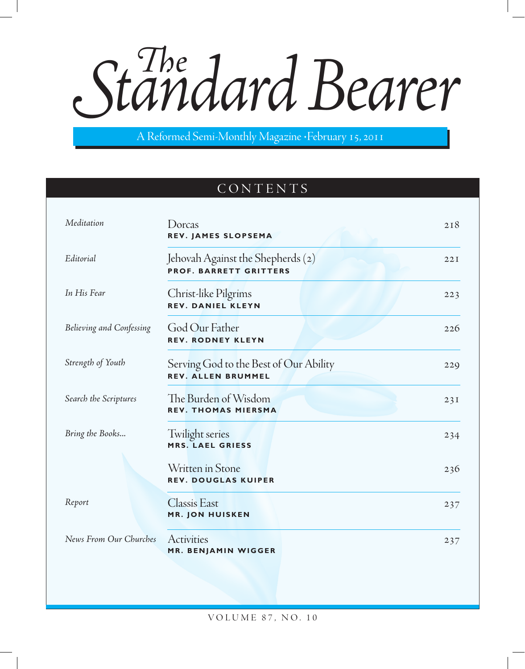Standard Bearer

A Reformed Semi-Monthly Magazine • February 15, 2011

# CONTENTS

| Meditation               | Dorcas<br>REV. JAMES SLOPSEMA                                       | 218 |
|--------------------------|---------------------------------------------------------------------|-----|
| Editorial                | Jehovah Against the Shepherds (2)<br><b>PROF. BARRETT GRITTERS</b>  | 22I |
| In His Fear              | Christ-like Pilgrims<br><b>REV. DANIEL KLEYN</b>                    | 223 |
| Believing and Confessing | God Our Father<br><b>REV. RODNEY KLEYN</b>                          | 226 |
| Strength of Youth        | Serving God to the Best of Our Ability<br><b>REV. ALLEN BRUMMEL</b> | 229 |
| Search the Scriptures    | The Burden of Wisdom<br><b>REV. THOMAS MIERSMA</b>                  | 23I |
| Bring the Books          | Twilight series<br>MRS. LAEL GRIESS                                 | 234 |
|                          | Written in Stone<br><b>REV. DOUGLAS KUIPER</b>                      | 236 |
| Report                   | <b>Classis East</b><br><b>MR. JON HUISKEN</b>                       | 237 |
| News From Our Churches   | Activities<br><b>MR. BENJAMIN WIGGER</b>                            | 237 |

volu m e 87, no. 10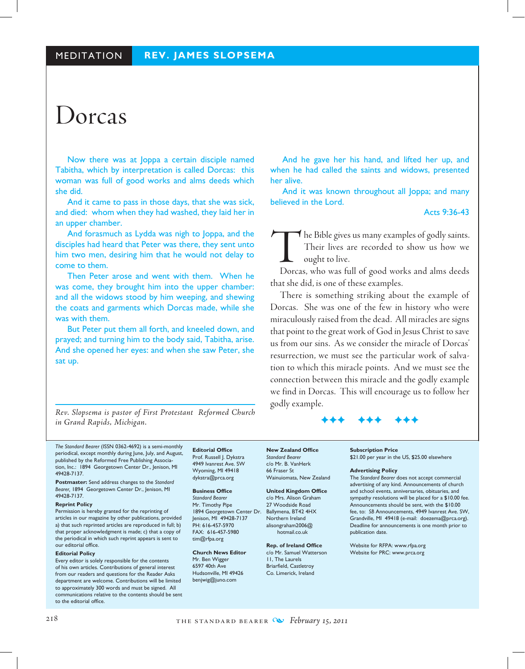# Dorcas

Now there was at Joppa a certain disciple named Tabitha, which by interpretation is called Dorcas: this woman was full of good works and alms deeds which she did.

And it came to pass in those days, that she was sick, and died: whom when they had washed, they laid her in an upper chamber.

And forasmuch as Lydda was nigh to Joppa, and the disciples had heard that Peter was there, they sent unto him two men, desiring him that he would not delay to come to them.

Then Peter arose and went with them. When he was come, they brought him into the upper chamber: and all the widows stood by him weeping, and shewing the coats and garments which Dorcas made, while she was with them.

But Peter put them all forth, and kneeled down, and prayed; and turning him to the body said, Tabitha, arise. And she opened her eyes: and when she saw Peter, she sat up.

*Rev. Slopsema is pastor of First Protestant Reformed Church in Grand Rapids, Michigan.*

And he gave her his hand, and lifted her up, and when he had called the saints and widows, presented her alive.

And it was known throughout all Joppa; and many believed in the Lord.

Acts 9:36-43

The Bible gives us many examples of godly saints.<br>Their lives are recorded to show us how we ought to live.<br>Dorcas, who was full of good works and alms deeds Their lives are recorded to show us how we ought to live.

Dorcas, who was full of good works and alms deeds that she did, is one of these examples.

There is something striking about the example of Dorcas. She was one of the few in history who were miraculously raised from the dead. All miracles are signs that point to the great work of God in Jesus Christ to save us from our sins. As we consider the miracle of Dorcas' resurrection, we must see the particular work of salvation to which this miracle points. And we must see the connection between this miracle and the godly example we find in Dorcas. This will encourage us to follow her godly example.

## FFF FFF FFF

*The Standard Bearer* (ISSN 0362-4692) is a semi-monthly periodical, except monthly during June, July, and August, published by the Reformed Free Publishing Association, Inc.: 1894 Georgetown Center Dr., Jenison, MI 49428-7137.

**Postmaster:** Send address changes to the *Standard Bearer,* 1894 Georgetown Center Dr., Jenison, MI 49428-7137.

#### **Reprint Policy**

Permission is hereby granted for the reprinting of articles in our magazine by other publications, provided a) that such reprinted articles are reproduced in full; b) that proper acknowledgment is made; c) that a copy of the periodical in which such reprint appears is sent to our editorial office.

#### **Editorial Policy**

Every editor is solely responsible for the contents of his own articles. Contributions of general interest from our readers and questions for the Reader Asks department are welcome. Contributions will be limited to approximately 300 words and must be signed. All communications relative to the contents should be sent to the editorial office.

**Editorial Office** Prof. Russell J. Dykstra 4949 Ivanrest Ave. SW Wyoming, MI 49418 dykstra@prca.org

#### **Business Office**

*Standard Bearer* Mr. Timothy Pipe 1894 Georgetown Center Dr. Jenison, MI 49428-7137 PH: 616-457-5970 FAX: 616-457-5980 tim@rfpa.org

#### **Church News Editor**

Mr. Ben Wigger 6597 40th Ave Hudsonville, MI 49426 benjwig@juno.com

**New Zealand Office** *Standard Bearer* c/o Mr. B. VanHerk 66 Fraser St Wainuiomata, New Zealand

**United Kingdom Office** c/o Mrs. Alison Graham 27 Woodside Road Ballymena, BT42 4HX Northern Ireland alisongraham2006@ hotmail.co.uk

**Rep. of Ireland Office** c/o Mr. Samuel Watterson 11, The Laurels Briarfield, Castletroy Co. Limerick, Ireland

#### **Subscription Price** \$21.00 per year in the US, \$25.00 elsewhere

#### **Advertising Policy**

The *Standard Bearer* does not accept commercial advertising of any kind. Announcements of church and school events, anniversaries, obituaries, and sympathy resolutions will be placed for a \$10.00 fee. Announcements should be sent, with the \$10.00 fee, to: *SB* Announcements, 4949 Ivanrest Ave. SW, Grandville, MI 49418 (e-mail: doezema@prca.org). Deadline for announcements is one month prior to publication date.

Website for RFPA: www.rfpa.org Website for PRC: www.prca.org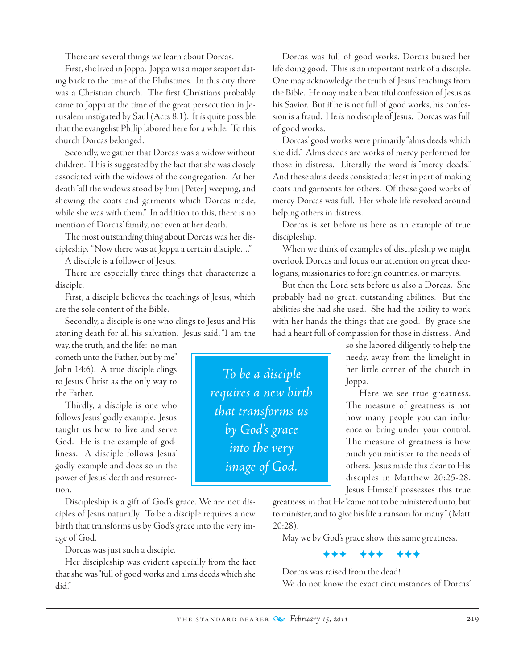There are several things we learn about Dorcas.

First, she lived in Joppa. Joppa was a major seaport dating back to the time of the Philistines. In this city there was a Christian church. The first Christians probably came to Joppa at the time of the great persecution in Jerusalem instigated by Saul (Acts 8:1). It is quite possible that the evangelist Philip labored here for a while. To this church Dorcas belonged.

Secondly, we gather that Dorcas was a widow without children. This is suggested by the fact that she was closely associated with the widows of the congregation. At her death "all the widows stood by him [Peter] weeping, and shewing the coats and garments which Dorcas made, while she was with them." In addition to this, there is no mention of Dorcas' family, not even at her death.

The most outstanding thing about Dorcas was her discipleship. "Now there was at Joppa a certain disciple…."

A disciple is a follower of Jesus.

There are especially three things that characterize a disciple.

First, a disciple believes the teachings of Jesus, which are the sole content of the Bible.

Secondly, a disciple is one who clings to Jesus and His atoning death for all his salvation. Jesus said, "I am the

way, the truth, and the life: no man cometh unto the Father, but by me" John 14:6). A true disciple clings to Jesus Christ as the only way to the Father.

Thirdly, a disciple is one who follows Jesus' godly example. Jesus taught us how to live and serve God. He is the example of godliness. A disciple follows Jesus' godly example and does so in the power of Jesus' death and resurrection.

Discipleship is a gift of God's grace. We are not disciples of Jesus naturally. To be a disciple requires a new birth that transforms us by God's grace into the very image of God.

Dorcas was just such a disciple.

Her discipleship was evident especially from the fact that she was "full of good works and alms deeds which she did."

Dorcas was full of good works. Dorcas busied her life doing good. This is an important mark of a disciple. One may acknowledge the truth of Jesus' teachings from the Bible. He may make a beautiful confession of Jesus as his Savior. But if he is not full of good works, his confession is a fraud. He is no disciple of Jesus. Dorcas was full of good works.

Dorcas' good works were primarily "alms deeds which she did." Alms deeds are works of mercy performed for those in distress. Literally the word is "mercy deeds." And these alms deeds consisted at least in part of making coats and garments for others. Of these good works of mercy Dorcas was full. Her whole life revolved around helping others in distress.

Dorcas is set before us here as an example of true discipleship.

When we think of examples of discipleship we might overlook Dorcas and focus our attention on great theologians, missionaries to foreign countries, or martyrs.

But then the Lord sets before us also a Dorcas. She probably had no great, outstanding abilities. But the abilities she had she used. She had the ability to work with her hands the things that are good. By grace she had a heart full of compassion for those in distress. And

> so she labored diligently to help the needy, away from the limelight in her little corner of the church in Joppa.

> Here we see true greatness. The measure of greatness is not how many people you can influence or bring under your control. The measure of greatness is how much you minister to the needs of others. Jesus made this clear to His disciples in Matthew 20:25-28. Jesus Himself possesses this true

greatness, in that He "came not to be ministered unto, but to minister, and to give his life a ransom for many" (Matt 20:28).

May we by God's grace show this same greatness.

FFF FFF FFF

Dorcas was raised from the dead! We do not know the exact circumstances of Dorcas'

*To be a disciple requires a new birth that transforms us by God's grace into the very image of God.*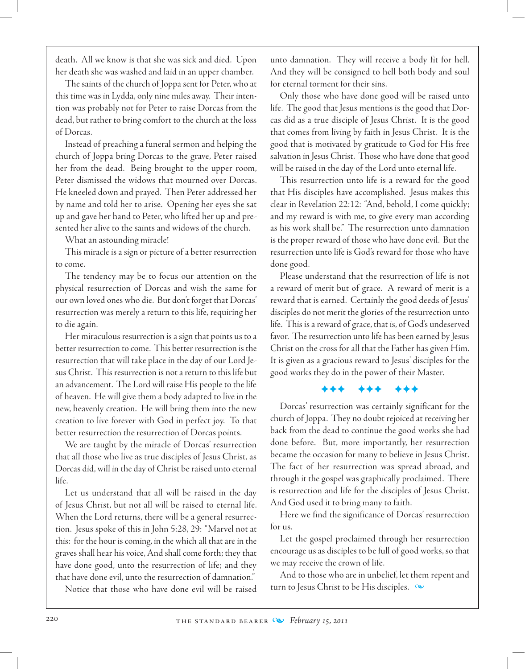death. All we know is that she was sick and died. Upon her death she was washed and laid in an upper chamber.

The saints of the church of Joppa sent for Peter, who at this time was in Lydda, only nine miles away. Their intention was probably not for Peter to raise Dorcas from the dead, but rather to bring comfort to the church at the loss of Dorcas.

Instead of preaching a funeral sermon and helping the church of Joppa bring Dorcas to the grave, Peter raised her from the dead. Being brought to the upper room, Peter dismissed the widows that mourned over Dorcas. He kneeled down and prayed. Then Peter addressed her by name and told her to arise. Opening her eyes she sat up and gave her hand to Peter, who lifted her up and presented her alive to the saints and widows of the church.

What an astounding miracle!

This miracle is a sign or picture of a better resurrection to come.

The tendency may be to focus our attention on the physical resurrection of Dorcas and wish the same for our own loved ones who die. But don't forget that Dorcas' resurrection was merely a return to this life, requiring her to die again.

Her miraculous resurrection is a sign that points us to a better resurrection to come. This better resurrection is the resurrection that will take place in the day of our Lord Jesus Christ. This resurrection is not a return to this life but an advancement. The Lord will raise His people to the life of heaven. He will give them a body adapted to live in the new, heavenly creation. He will bring them into the new creation to live forever with God in perfect joy. To that better resurrection the resurrection of Dorcas points.

We are taught by the miracle of Dorcas' resurrection that all those who live as true disciples of Jesus Christ, as Dorcas did, will in the day of Christ be raised unto eternal life.

Let us understand that all will be raised in the day of Jesus Christ, but not all will be raised to eternal life. When the Lord returns, there will be a general resurrection. Jesus spoke of this in John 5:28, 29: "Marvel not at this: for the hour is coming, in the which all that are in the graves shall hear his voice, And shall come forth; they that have done good, unto the resurrection of life; and they that have done evil, unto the resurrection of damnation."

Notice that those who have done evil will be raised

unto damnation. They will receive a body fit for hell. And they will be consigned to hell both body and soul for eternal torment for their sins.

Only those who have done good will be raised unto life. The good that Jesus mentions is the good that Dorcas did as a true disciple of Jesus Christ. It is the good that comes from living by faith in Jesus Christ. It is the good that is motivated by gratitude to God for His free salvation in Jesus Christ. Those who have done that good will be raised in the day of the Lord unto eternal life.

This resurrection unto life is a reward for the good that His disciples have accomplished. Jesus makes this clear in Revelation 22:12: "And, behold, I come quickly; and my reward is with me, to give every man according as his work shall be." The resurrection unto damnation is the proper reward of those who have done evil. But the resurrection unto life is God's reward for those who have done good.

Please understand that the resurrection of life is not a reward of merit but of grace. A reward of merit is a reward that is earned. Certainly the good deeds of Jesus' disciples do not merit the glories of the resurrection unto life. This is a reward of grace, that is, of God's undeserved favor. The resurrection unto life has been earned by Jesus Christ on the cross for all that the Father has given Him. It is given as a gracious reward to Jesus' disciples for the good works they do in the power of their Master.

# FFF FFF FFF

Dorcas' resurrection was certainly significant for the church of Joppa. They no doubt rejoiced at receiving her back from the dead to continue the good works she had done before. But, more importantly, her resurrection became the occasion for many to believe in Jesus Christ. The fact of her resurrection was spread abroad, and through it the gospel was graphically proclaimed. There is resurrection and life for the disciples of Jesus Christ. And God used it to bring many to faith.

Here we find the significance of Dorcas' resurrection for us.

Let the gospel proclaimed through her resurrection encourage us as disciples to be full of good works, so that we may receive the crown of life.

And to those who are in unbelief, let them repent and turn to Jesus Christ to be His disciples.  $\infty$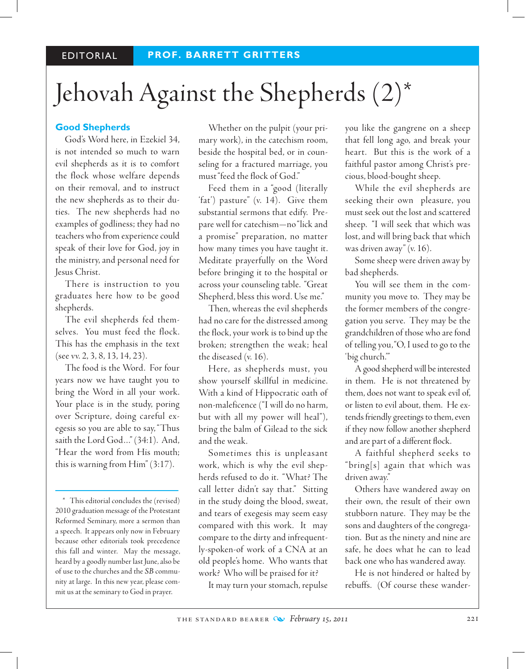# Jehovah Against the Shepherds (2)\*

# **Good Shepherds**

God's Word here, in Ezekiel 34, is not intended so much to warn evil shepherds as it is to comfort the flock whose welfare depends on their removal, and to instruct the new shepherds as to their duties. The new shepherds had no examples of godliness; they had no teachers who from experience could speak of their love for God, joy in the ministry, and personal need for Jesus Christ.

There is instruction to you graduates here how to be good shepherds.

The evil shepherds fed themselves. You must feed the flock. This has the emphasis in the text (see vv. 2, 3, 8, 13, 14, 23).

The food is the Word. For four years now we have taught you to bring the Word in all your work. Your place is in the study, poring over Scripture, doing careful exegesis so you are able to say, "Thus saith the Lord God…" (34:1). And, "Hear the word from His mouth; this is warning from Him" (3:17).

Whether on the pulpit (your primary work), in the catechism room, beside the hospital bed, or in counseling for a fractured marriage, you must "feed the flock of God."

Feed them in a "good (literally 'fat') pasture" (v. 14). Give them substantial sermons that edify. Prepare well for catechism—no "lick and a promise" preparation, no matter how many times you have taught it. Meditate prayerfully on the Word before bringing it to the hospital or across your counseling table. "Great Shepherd, bless this word. Use me."

Then, whereas the evil shepherds had no care for the distressed among the flock, your work is to bind up the broken; strengthen the weak; heal the diseased (v. 16).

Here, as shepherds must, you show yourself skillful in medicine. With a kind of Hippocratic oath of non-maleficence ("I will do no harm, but with all my power will heal"), bring the balm of Gilead to the sick and the weak.

Sometimes this is unpleasant work, which is why the evil shepherds refused to do it. "What? The call letter didn't say that." Sitting in the study doing the blood, sweat, and tears of exegesis may seem easy compared with this work. It may compare to the dirty and infrequently-spoken-of work of a CNA at an old people's home. Who wants that work? Who will be praised for it?

It may turn your stomach, repulse

you like the gangrene on a sheep that fell long ago, and break your heart. But this is the work of a faithful pastor among Christ's precious, blood-bought sheep.

While the evil shepherds are seeking their own pleasure, you must seek out the lost and scattered sheep. "I will seek that which was lost, and will bring back that which was driven away" (v. 16).

Some sheep were driven away by bad shepherds.

You will see them in the community you move to. They may be the former members of the congregation you serve. They may be the grandchildren of those who are fond of telling you, "O, I used to go to the 'big church.'"

A good shepherd will be interested in them. He is not threatened by them, does not want to speak evil of, or listen to evil about, them. He extends friendly greetings to them, even if they now follow another shepherd and are part of a different flock.

A faithful shepherd seeks to " bring[s] again that which was driven away."

Others have wandered away on their own, the result of their own stubborn nature. They may be the sons and daughters of the congregation. But as the ninety and nine are safe, he does what he can to lead back one who has wandered away.

He is not hindered or halted by rebuffs. (Of course these wander-

<sup>\*</sup> This editorial concludes the (revised) 2010 graduation message of the Protestant Reformed Seminary, more a sermon than a speech. It appears only now in February because other editorials took precedence this fall and winter. May the message, heard by a goodly number last June, also be of use to the churches and the *SB* community at large. In this new year, please commit us at the seminary to God in prayer.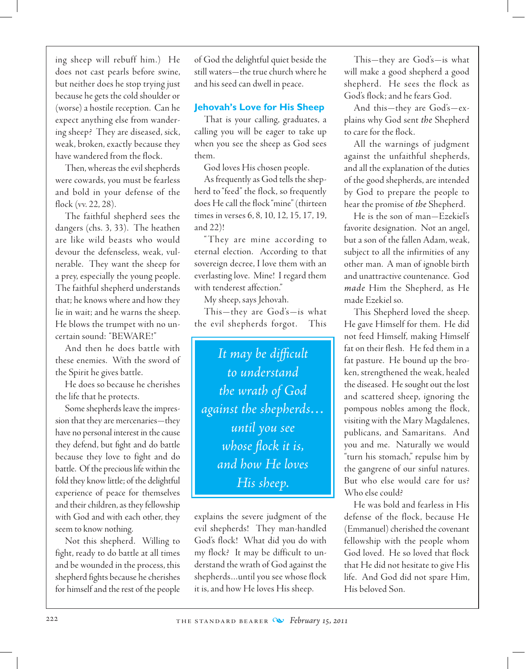ing sheep will rebuff him.) He does not cast pearls before swine, but neither does he stop trying just because he gets the cold shoulder or (worse) a hostile reception. Can he expect anything else from wandering sheep? They are diseased, sick, weak, broken, exactly because they have wandered from the flock.

Then, whereas the evil shepherds were cowards, you must be fearless and bold in your defense of the flock (vv. 22, 28).

The faithful shepherd sees the dangers (chs. 3, 33). The heathen are like wild beasts who would devour the defenseless, weak, vulnerable. They want the sheep for a prey, especially the young people. The faithful shepherd understands that; he knows where and how they lie in wait; and he warns the sheep. He blows the trumpet with no uncertain sound: "BEWARE!"

And then he does battle with these enemies. With the sword of the Spirit he gives battle.

He does so because he cherishes the life that he protects.

Some shepherds leave the impression that they are mercenaries—they have no personal interest in the cause they defend, but fight and do battle because they love to fight and do battle. Of the precious life within the fold they know little; of the delightful experience of peace for themselves and their children, as they fellowship with God and with each other, they seem to know nothing.

 Not this shepherd. Willing to fight, ready to do battle at all times and be wounded in the process, this shepherd fights because he cherishes for himself and the rest of the people of God the delightful quiet beside the still waters—the true church where he and his seed can dwell in peace.

# **Jehovah's Love for His Sheep**

That is your calling, graduates, a calling you will be eager to take up when you see the sheep as God sees them.

God loves His chosen people.

As frequently as God tells the shepherd to "feed" the flock, so frequently does He call the flock "mine" (thirteen times in verses 6, 8, 10, 12, 15, 17, 19, and 22)!

" They are mine according to eternal election. According to that sovereign decree, I love them with an everlasting love. Mine! I regard them with tenderest affection."

My sheep, says Jehovah.

This—they are God's—is what the evil shepherds forgot. This

*It may be difficult to understand the wrath of God against the shepherds… until you see whose flock it is, and how He loves His sheep.*

explains the severe judgment of the evil shepherds! They man-handled God's flock! What did you do with my flock? It may be difficult to understand the wrath of God against the shepherds…until you see whose flock it is, and how He loves His sheep.

This—they are God's—is what will make a good shepherd a good shepherd. He sees the flock as God's flock; and he fears God.

And this—they are God's—explains why God sent *the* Shepherd to care for the flock.

All the warnings of judgment against the unfaithful shepherds, and all the explanation of the duties of the good shepherds, are intended by God to prepare the people to hear the promise of *the* Shepherd.

He is the son of man—Ezekiel's favorite designation. Not an angel, but a son of the fallen Adam, weak, subject to all the infirmities of any other man. A man of ignoble birth and unattractive countenance. God *made* Him the Shepherd, as He made Ezekiel so.

This Shepherd loved the sheep. He gave Himself for them. He did not feed Himself, making Himself fat on their flesh. He fed them in a fat pasture. He bound up the broken, strengthened the weak, healed the diseased. He sought out the lost and scattered sheep, ignoring the pompous nobles among the flock, visiting with the Mary Magdalenes, publicans, and Samaritans. And you and me. Naturally we would "turn his stomach," repulse him by the gangrene of our sinful natures. But who else would care for us? Who else could?

He was bold and fearless in His defense of the flock, because He (Emmanuel) cherished the covenant fellowship with the people whom God loved. He so loved that flock that He did not hesitate to give His life. And God did not spare Him, His beloved Son.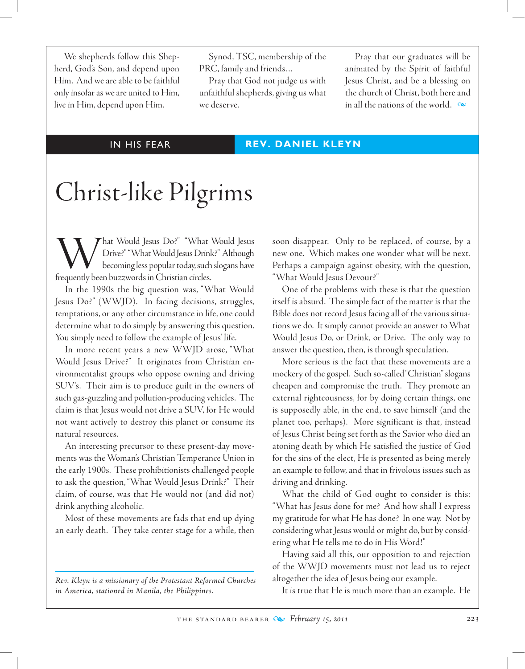We shepherds follow this Shepherd, God's Son, and depend upon Him. And we are able to be faithful only insofar as we are united to Him, live in Him, depend upon Him.

Synod, TSC, membership of the PRC, family and friends…

Pray that God not judge us with unfaithful shepherds, giving us what we deserve.

Pray that our graduates will be animated by the Spirit of faithful Jesus Christ, and be a blessing on the church of Christ, both here and in all the nations of the world.  $\infty$ 

## IN HIS FEAR **REV. DANIEL KLEYN**

# Christ-like Pilgrims

What Would Jesus Do?" "What Would Jesus Drive?" "What Would Jesus Drink?" Although becoming less popular today, such slogans have frequently been buzzwords in Christian circles.

In the 1990s the big question was, "What Would Jesus Do?" (WWJD). In facing decisions, struggles, temptations, or any other circumstance in life, one could determine what to do simply by answering this question. You simply need to follow the example of Jesus' life.

In more recent years a new WWJD arose, "What Would Jesus Drive?" It originates from Christian environmentalist groups who oppose owning and driving SUV's. Their aim is to produce guilt in the owners of such gas-guzzling and pollution-producing vehicles. The claim is that Jesus would not drive a SUV, for He would not want actively to destroy this planet or consume its natural resources.

An interesting precursor to these present-day movements was the Woman's Christian Temperance Union in the early 1900s. These prohibitionists challenged people to ask the question, "What Would Jesus Drink?" Their claim, of course, was that He would not (and did not) drink anything alcoholic.

Most of these movements are fads that end up dying an early death. They take center stage for a while, then

*Rev. Kleyn is a missionary of the Protestant Reformed Churches in America, stationed in Manila, the Philippines.*

soon disappear. Only to be replaced, of course, by a new one. Which makes one wonder what will be next. Perhaps a campaign against obesity, with the question, "What Would Jesus Devour?"

 One of the problems with these is that the question itself is absurd. The simple fact of the matter is that the Bible does not record Jesus facing all of the various situations we do. It simply cannot provide an answer to What Would Jesus Do, or Drink, or Drive. The only way to answer the question, then, is through speculation.

More serious is the fact that these movements are a mockery of the gospel. Such so-called "Christian" slogans cheapen and compromise the truth. They promote an external righteousness, for by doing certain things, one is supposedly able, in the end, to save himself (and the planet too, perhaps). More significant is that, instead of Jesus Christ being set forth as the Savior who died an atoning death by which He satisfied the justice of God for the sins of the elect, He is presented as being merely an example to follow, and that in frivolous issues such as driving and drinking.

What the child of God ought to consider is this: "What has Jesus done for me? And how shall I express my gratitude for what He has done? In one way. Not by considering what Jesus would or might do, but by considering what He tells me to do in His Word!"

Having said all this, our opposition to and rejection of the WWJD movements must not lead us to reject altogether the idea of Jesus being our example.

It is true that He is much more than an example. He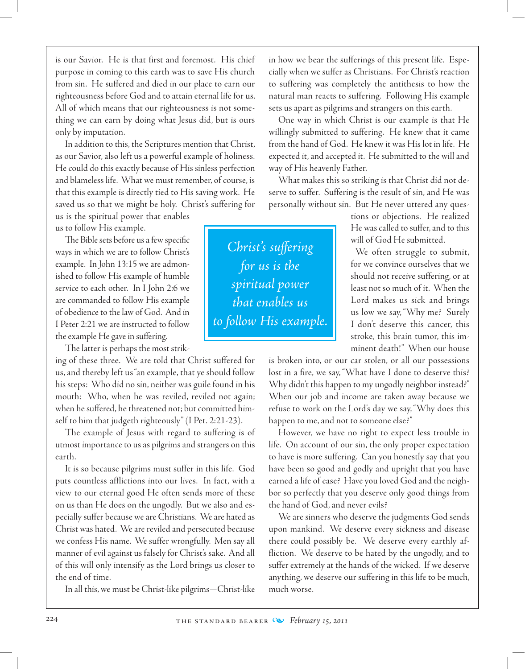is our Savior. He is that first and foremost. His chief purpose in coming to this earth was to save His church from sin. He suffered and died in our place to earn our righteousness before God and to attain eternal life for us. All of which means that our righteousness is not something we can earn by doing what Jesus did, but is ours only by imputation.

In addition to this, the Scriptures mention that Christ, as our Savior, also left us a powerful example of holiness. He could do this exactly because of His sinless perfection and blameless life. What we must remember, of course, is that this example is directly tied to His saving work. He saved us so that we might be holy. Christ's suffering for

us is the spiritual power that enables us to follow His example.

The Bible sets before us a few specific ways in which we are to follow Christ's example. In John 13:15 we are admonished to follow His example of humble service to each other. In I John 2:6 we are commanded to follow His example of obedience to the law of God. And in I Peter 2:21 we are instructed to follow the example He gave in suffering.

The latter is perhaps the most strik-

ing of these three. We are told that Christ suffered for us, and thereby left us "an example, that ye should follow his steps: Who did no sin, neither was guile found in his mouth: Who, when he was reviled, reviled not again; when he suffered, he threatened not; but committed himself to him that judgeth righteously" (I Pet. 2:21-23).

The example of Jesus with regard to suffering is of utmost importance to us as pilgrims and strangers on this earth.

It is so because pilgrims must suffer in this life. God puts countless afflictions into our lives. In fact, with a view to our eternal good He often sends more of these on us than He does on the ungodly. But we also and especially suffer because we are Christians. We are hated as Christ was hated. We are reviled and persecuted because we confess His name. We suffer wrongfully. Men say all manner of evil against us falsely for Christ's sake. And all of this will only intensify as the Lord brings us closer to the end of time.

In all this, we must be Christ-like pilgrims—Christ-like

in how we bear the sufferings of this present life. Especially when we suffer as Christians. For Christ's reaction to suffering was completely the antithesis to how the natural man reacts to suffering. Following His example sets us apart as pilgrims and strangers on this earth.

 One way in which Christ is our example is that He willingly submitted to suffering. He knew that it came from the hand of God. He knew it was His lot in life. He expected it, and accepted it. He submitted to the will and way of His heavenly Father.

What makes this so striking is that Christ did not deserve to suffer. Suffering is the result of sin, and He was personally without sin. But He never uttered any ques-

> tions or objections. He realized He was called to suffer, and to this will of God He submitted.

> We often struggle to submit, for we convince ourselves that we should not receive suffering, or at least not so much of it. When the Lord makes us sick and brings us low we say, "Why me? Surely I don't deserve this cancer, this stroke, this brain tumor, this imminent death!" When our house

is broken into, or our car stolen, or all our possessions lost in a fire, we say, "What have I done to deserve this? Why didn't this happen to my ungodly neighbor instead?" When our job and income are taken away because we refuse to work on the Lord's day we say, "Why does this happen to me, and not to someone else?"

However, we have no right to expect less trouble in life. On account of our sin, the only proper expectation to have is more suffering. Can you honestly say that you have been so good and godly and upright that you have earned a life of ease? Have you loved God and the neighbor so perfectly that you deserve only good things from the hand of God, and never evils?

We are sinners who deserve the judgments God sends upon mankind. We deserve every sickness and disease there could possibly be. We deserve every earthly affliction. We deserve to be hated by the ungodly, and to suffer extremely at the hands of the wicked. If we deserve anything, we deserve our suffering in this life to be much, much worse.

*Christ's suffering for us is the spiritual power that enables us to follow His example.*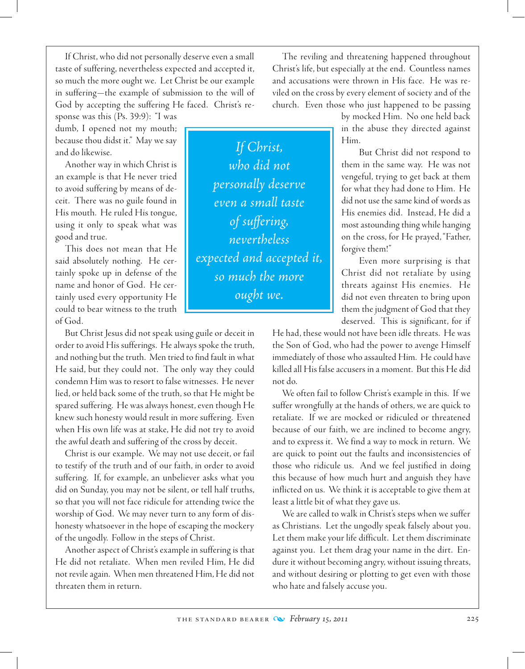If Christ, who did not personally deserve even a small taste of suffering, nevertheless expected and accepted it, so much the more ought we. Let Christ be our example in suffering—the example of submission to the will of God by accepting the suffering He faced. Christ's re-

sponse was this (Ps. 39:9): "I was dumb, I opened not my mouth; because thou didst it." May we say and do likewise.

Another way in which Christ is an example is that He never tried to avoid suffering by means of deceit. There was no guile found in His mouth. He ruled His tongue, using it only to speak what was good and true.

This does not mean that He said absolutely nothing. He certainly spoke up in defense of the name and honor of God. He certainly used every opportunity He could to bear witness to the truth of God.

But Christ Jesus did not speak using guile or deceit in order to avoid His sufferings. He always spoke the truth, and nothing but the truth. Men tried to find fault in what He said, but they could not. The only way they could condemn Him was to resort to false witnesses. He never lied, or held back some of the truth, so that He might be spared suffering. He was always honest, even though He knew such honesty would result in more suffering. Even when His own life was at stake, He did not try to avoid the awful death and suffering of the cross by deceit.

Christ is our example. We may not use deceit, or fail to testify of the truth and of our faith, in order to avoid suffering. If, for example, an unbeliever asks what you did on Sunday, you may not be silent, or tell half truths, so that you will not face ridicule for attending twice the worship of God. We may never turn to any form of dishonesty whatsoever in the hope of escaping the mockery of the ungodly. Follow in the steps of Christ.

Another aspect of Christ's example in suffering is that He did not retaliate. When men reviled Him, He did not revile again. When men threatened Him, He did not threaten them in return.

The reviling and threatening happened throughout Christ's life, but especially at the end. Countless names and accusations were thrown in His face. He was reviled on the cross by every element of society and of the church. Even those who just happened to be passing

> by mocked Him. No one held back in the abuse they directed against Him.

> But Christ did not respond to them in the same way. He was not vengeful, trying to get back at them for what they had done to Him. He did not use the same kind of words as His enemies did. Instead, He did a most astounding thing while hanging on the cross, for He prayed, "Father, forgive them!"

> Even more surprising is that Christ did not retaliate by using threats against His enemies. He did not even threaten to bring upon them the judgment of God that they deserved. This is significant, for if

He had, these would not have been idle threats. He was the Son of God, who had the power to avenge Himself immediately of those who assaulted Him. He could have killed all His false accusers in a moment. But this He did not do.

We often fail to follow Christ's example in this. If we suffer wrongfully at the hands of others, we are quick to retaliate. If we are mocked or ridiculed or threatened because of our faith, we are inclined to become angry, and to express it. We find a way to mock in return. We are quick to point out the faults and inconsistencies of those who ridicule us. And we feel justified in doing this because of how much hurt and anguish they have inflicted on us. We think it is acceptable to give them at least a little bit of what they gave us.

We are called to walk in Christ's steps when we suffer as Christians. Let the ungodly speak falsely about you. Let them make your life difficult. Let them discriminate against you. Let them drag your name in the dirt. Endure it without becoming angry, without issuing threats, and without desiring or plotting to get even with those who hate and falsely accuse you.

*If Christ, who did not personally deserve even a small taste of suffering, nevertheless expected and accepted it, so much the more ought we.*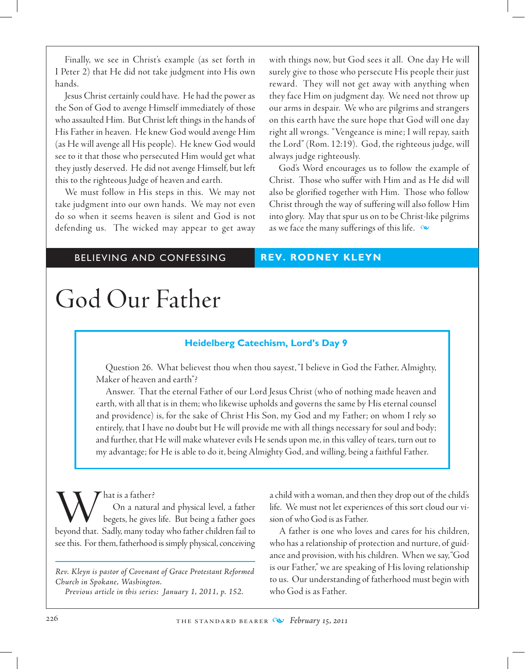Finally, we see in Christ's example (as set forth in I Peter 2) that He did not take judgment into His own hands.

Jesus Christ certainly could have. He had the power as the Son of God to avenge Himself immediately of those who assaulted Him. But Christ left things in the hands of His Father in heaven. He knew God would avenge Him (as He will avenge all His people). He knew God would see to it that those who persecuted Him would get what they justly deserved. He did not avenge Himself, but left this to the righteous Judge of heaven and earth.

We must follow in His steps in this. We may not take judgment into our own hands. We may not even do so when it seems heaven is silent and God is not defending us. The wicked may appear to get away

with things now, but God sees it all. One day He will surely give to those who persecute His people their just reward. They will not get away with anything when they face Him on judgment day. We need not throw up our arms in despair. We who are pilgrims and strangers on this earth have the sure hope that God will one day right all wrongs. "Vengeance is mine; I will repay, saith the Lord" (Rom. 12:19). God, the righteous judge, will always judge righteously.

God's Word encourages us to follow the example of Christ. Those who suffer with Him and as He did will also be glorified together with Him. Those who follow Christ through the way of suffering will also follow Him into glory. May that spur us on to be Christ-like pilgrims as we face the many sufferings of this life.  $\infty$ 

# BELIEVING AND CONFESSING **REV. RODNEY KLEYN**

# God Our Father

# **Heidelberg Catechism, Lord's Day 9**

Question 26. What believest thou when thou sayest, "I believe in God the Father, Almighty, Maker of heaven and earth"?

Answer. That the eternal Father of our Lord Jesus Christ (who of nothing made heaven and earth, with all that is in them; who likewise upholds and governs the same by His eternal counsel and providence) is, for the sake of Christ His Son, my God and my Father; on whom I rely so entirely, that I have no doubt but He will provide me with all things necessary for soul and body; and further, that He will make whatever evils He sends upon me, in this valley of tears, turn out to my advantage; for He is able to do it, being Almighty God, and willing, being a faithful Father.

What is a father?<br>
On a natural and physical level, a father<br>
beyond that. Sadly, many today who father children fail to On a natural and physical level, a father begets, he gives life. But being a father goes see this. For them, fatherhood is simply physical, conceiving

*Rev. Kleyn is pastor of Covenant of Grace Protestant Reformed Church in Spokane, Washington. Previous article in this series: January 1, 2011, p. 152.*

a child with a woman, and then they drop out of the child's life. We must not let experiences of this sort cloud our vision of who God is as Father.

A father is one who loves and cares for his children, who has a relationship of protection and nurture, of guidance and provision, with his children. When we say, "God is our Father," we are speaking of His loving relationship to us. Our understanding of fatherhood must begin with who God is as Father.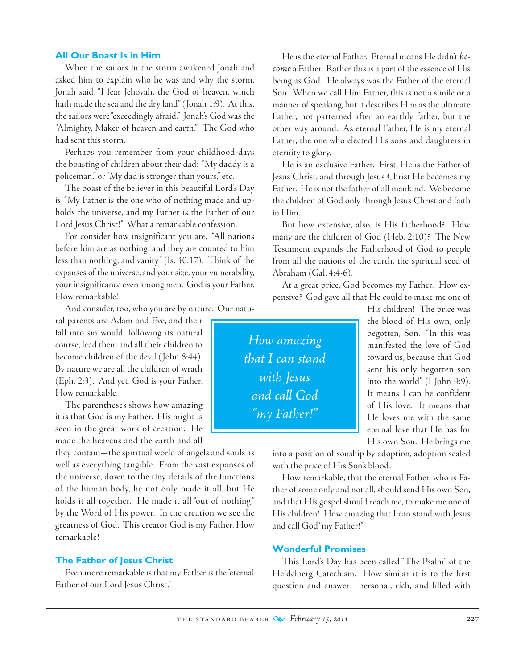### **All Our Boast Is in Him**

When the sailors in the storm awakened Jonah and asked him to explain who he was and why the storm, Jonah said, "I fear Jehovah, the God of heaven, which hath made the sea and the dry land" ( Jonah 1:9). At this, the sailors were "exceedingly afraid." Jonah's God was the "Almighty, Maker of heaven and earth." The God who had sent this storm.

Perhaps you remember from your childhood-days the boasting of children about their dad: "My daddy is a policeman," or "My dad is stronger than yours," etc.

The boast of the believer in this beautiful Lord's Day is, "My Father is the one who of nothing made and upholds the universe, and my Father is the Father of our Lord Jesus Christ!" What a remarkable confession.

For consider how insignificant you are. "All nations before him are as nothing; and they are counted to him less than nothing, and vanity" (Is. 40:17). Think of the expanses of the universe, and your size, your vulnerability, your insignificance even among men. God is your Father. How remarkable!

And consider, too, who you are by nature. Our natu-

ral parents are Adam and Eve, and their fall into sin would, following its natural course, lead them and all their children to become children of the devil ( John 8:44). By nature we are all the children of wrath (Eph. 2:3). And yet, God is your Father. How remarkable.

The parentheses shows how amazing it is that God is my Father. His might is seen in the great work of creation. He made the heavens and the earth and all

they contain—the spiritual world of angels and souls as well as everything tangible. From the vast expanses of the universe, down to the tiny details of the functions of the human body, he not only made it all, but He holds it all together. He made it all "out of nothing," by the Word of His power. In the creation we see the greatness of God. This creator God is my Father. How remarkable!

## **The Father of Jesus Christ**

Even more remarkable is that my Father is the "eternal Father of our Lord Jesus Christ."

He is the eternal Father. Eternal means He didn't *become* a Father. Rather this is a part of the essence of His being as God. He always was the Father of the eternal Son. When we call Him Father, this is not a simile or a manner of speaking, but it describes Him as the ultimate Father, not patterned after an earthly father, but the other way around. As eternal Father, He is my eternal Father, the one who elected His sons and daughters in eternity to glory.

He is an exclusive Father. First, He is the Father of Jesus Christ, and through Jesus Christ He becomes my Father. He is not the father of all mankind. We become the children of God only through Jesus Christ and faith in Him.

But how extensive, also, is His fatherhood? How many are the children of God (Heb. 2:10)? The New Testament expands the Fatherhood of God to people from all the nations of the earth, the spiritual seed of Abraham (Gal. 4:4-6).

At a great price, God becomes my Father. How expensive? God gave all that He could to make me one of

*How amazing that I can stand with Jesus and call God "my Father!"*

His children! The price was the blood of His own, only begotten, Son. "In this was manifested the love of God toward us, because that God sent his only begotten son into the world" (I John 4:9). It means I can be confident of His love. It means that He loves me with the same eternal love that He has for His own Son. He brings me

into a position of sonship by adoption, adoption sealed with the price of His Son's blood.

How remarkable, that the eternal Father, who is Father of some only and not all, should send His own Son, and that His gospel should reach me, to make me one of His children! How amazing that I can stand with Jesus and call God "my Father!"

# **Wonderful Promises**

This Lord's Day has been called "The Psalm" of the Heidelberg Catechism. How similar it is to the first question and answer: personal, rich, and filled with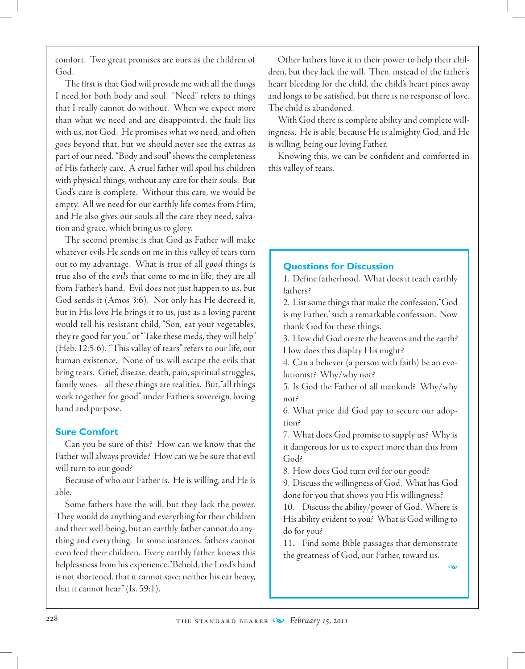comfort. Two great promises are ours as the children of God.

The first is that God will provide me with all the things I need for both body and soul. "Need" refers to things that I really cannot do without. When we expect more than what we need and are disappointed, the fault lies with us, not God. He promises what we need, and often goes beyond that, but we should never see the extras as part of our need. "Body and soul" shows the completeness of His fatherly care. A cruel father will spoil his children with physical things, without any care for their souls. But God's care is complete. Without this care, we would be empty. All we need for our earthly life comes from Him, and He also gives our souls all the care they need, salvation and grace, which bring us to glory.

The second promise is that God as Father will make whatever evils He sends on me in this valley of tears turn out to my advantage. What is true of all *good* things is true also of the *evils* that come to me in life; they are all from Father's hand. Evil does not just happen to us, but God sends it (Amos 3:6). Not only has He decreed it, but in His love He brings it to us, just as a loving parent would tell his resistant child, "Son, eat your vegetables, they're good for you," or "Take these meds, they will help" (Heb. 12:5-6). "This valley of tears" refers to our life, our human existence. None of us will escape the evils that bring tears. Grief, disease, death, pain, spiritual struggles, family woes—all these things are realities. But, "all things work together for good" under Father's sovereign, loving hand and purpose.

# **Sure Comfort**

Can you be sure of this? How can we know that the Father will always provide? How can we be sure that evil will turn to our good?

Because of who our Father is. He is willing, and He is able.

Some fathers have the will, but they lack the power. They would do anything and everything for their children and their well-being, but an earthly father cannot do anything and everything. In some instances, fathers cannot even feed their children. Every earthly father knows this helplessness from his experience. "Behold, the Lord's hand is not shortened, that it cannot save; neither his ear heavy, that it cannot hear" (Is. 59:1).

Other fathers have it in their power to help their children, but they lack the will. Then, instead of the father's heart bleeding for the child, the child's heart pines away and longs to be satisfied, but there is no response of love. The child is abandoned.

With God there is complete ability and complete willingness. He is able, because He is almighty God, and He is willing, being our loving Father.

Knowing this, we can be confident and comforted in this valley of tears.

# **Questions for Discussion**

1. Define fatherhood. What does it teach earthly fathers?

2. List some things that make the confession, "God is my Father," such a remarkable confession. Now thank God for these things.

3. How did God create the heavens and the earth? How does this display His might?

4. Can a believer (a person with faith) be an evolutionist? Why/why not?

5. Is God the Father of all mankind? Why/why not?

6. What price did God pay to secure our adoption?

7. What does God promise to supply us? Why is it dangerous for us to expect more than this from God?

8. How does God turn evil for our good?

9. Discuss the willingness of God. What has God done for you that shows you His willingness?

10. Discuss the ability/power of God. Where is His ability evident to you? What is God willing to do for you?

11. Find some Bible passages that demonstrate the greatness of God, our Father, toward us.

m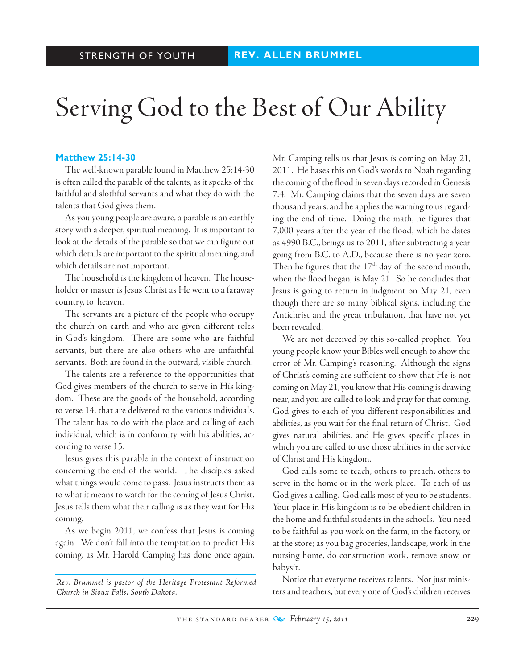# Serving God to the Best of Our Ability

# **Matthew 25:14-30**

The well-known parable found in Matthew 25:14-30 is often called the parable of the talents, as it speaks of the faithful and slothful servants and what they do with the talents that God gives them.

As you young people are aware, a parable is an earthly story with a deeper, spiritual meaning. It is important to look at the details of the parable so that we can figure out which details are important to the spiritual meaning, and which details are not important.

The household is the kingdom of heaven. The householder or master is Jesus Christ as He went to a faraway country, to heaven.

The servants are a picture of the people who occupy the church on earth and who are given different roles in God's kingdom. There are some who are faithful servants, but there are also others who are unfaithful servants. Both are found in the outward, visible church.

The talents are a reference to the opportunities that God gives members of the church to serve in His kingdom. These are the goods of the household, according to verse 14, that are delivered to the various individuals. The talent has to do with the place and calling of each individual, which is in conformity with his abilities, according to verse 15.

Jesus gives this parable in the context of instruction concerning the end of the world. The disciples asked what things would come to pass. Jesus instructs them as to what it means to watch for the coming of Jesus Christ. Jesus tells them what their calling is as they wait for His coming.

As we begin 2011, we confess that Jesus is coming again. We don't fall into the temptation to predict His coming, as Mr. Harold Camping has done once again.

*Rev. Brummel is pastor of the Heritage Protestant Reformed Church in Sioux Falls, South Dakota.*

Mr. Camping tells us that Jesus is coming on May 21, 2011. He bases this on God's words to Noah regarding the coming of the flood in seven days recorded in Genesis 7:4. Mr. Camping claims that the seven days are seven thousand years, and he applies the warning to us regarding the end of time. Doing the math, he figures that 7,000 years after the year of the flood, which he dates as 4990 B.C., brings us to 2011, after subtracting a year going from B.C. to A.D., because there is no year zero. Then he figures that the  $17<sup>th</sup>$  day of the second month, when the flood began, is May 21. So he concludes that Jesus is going to return in judgment on May 21, even though there are so many biblical signs, including the Antichrist and the great tribulation, that have not yet been revealed.

We are not deceived by this so-called prophet. You young people know your Bibles well enough to show the error of Mr. Camping's reasoning. Although the signs of Christ's coming are sufficient to show that He is not coming on May 21, you know that His coming is drawing near, and you are called to look and pray for that coming. God gives to each of you different responsibilities and abilities, as you wait for the final return of Christ. God gives natural abilities, and He gives specific places in which you are called to use those abilities in the service of Christ and His kingdom.

God calls some to teach, others to preach, others to serve in the home or in the work place. To each of us God gives a calling. God calls most of you to be students. Your place in His kingdom is to be obedient children in the home and faithful students in the schools. You need to be faithful as you work on the farm, in the factory, or at the store; as you bag groceries, landscape, work in the nursing home, do construction work, remove snow, or babysit.

 Notice that everyone receives talents. Not just ministers and teachers, but every one of God's children receives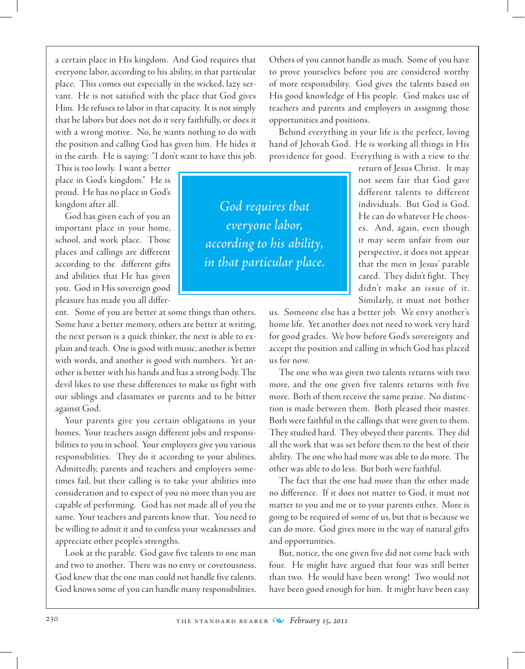a certain place in His kingdom. And God requires that everyone labor, according to his ability, in that particular place. This comes out especially in the wicked, lazy servant. He is not satisfied with the place that God gives Him. He refuses to labor in that capacity. It is not simply that he labors but does not do it very faithfully, or does it with a wrong motive. No, he wants nothing to do with the position and calling God has given him. He hides it in the earth. He is saying: "I don't want to have this job.

This is too lowly. I want a better place in God's kingdom." He is proud. He has no place in God's kingdom after all.

God has given each of you an important place in your home, school, and work place. Those places and callings are different according to the different gifts and abilities that He has given you. God in His sovereign good pleasure has made you all differ-

ent. Some of you are better at some things than others. Some have a better memory, others are better at writing, the next person is a quick thinker, the next is able to explain and teach. One is good with music, another is better with words, and another is good with numbers. Yet another is better with his hands and has a strong body. The devil likes to use these differences to make us fight with our siblings and classmates or parents and to be bitter against God.

Your parents give you certain obligations in your homes. Your teachers assign different jobs and responsibilities to you in school. Your employers give you various responsibilities. They do it according to your abilities. Admittedly, parents and teachers and employers sometimes fail, but their calling is to take your abilities into consideration and to expect of you no more than you are capable of performing. God has not made all of you the same. Your teachers and parents know that. You need to be willing to admit it and to confess your weaknesses and appreciate other people's strengths.

 Look at the parable. God gave five talents to one man and two to another. There was no envy or covetousness. God knew that the one man could not handle five talents. God knows some of you can handle many responsibilities.

Others of you cannot handle as much. Some of you have to prove yourselves before you are considered worthy of more responsibility. God gives the talents based on His good knowledge of His people. God makes use of teachers and parents and employers in assigning those opportunities and positions.

Behind everything in your life is the perfect, loving hand of Jehovah God. He is working all things in His providence for good. Everything is with a view to the

*God requires that everyone labor, according to his ability, in that particular place.* return of Jesus Christ. It may not seem fair that God gave different talents to different individuals. But God is God. He can do whatever He chooses. And, again, even though it may seem unfair from our perspective, it does not appear that the men in Jesus' parable cared. They didn't fight. They didn't make an issue of it. Similarly, it must not bother

us. Someone else has a better job. We envy another's home life. Yet another does not need to work very hard for good grades. We bow before God's sovereignty and accept the position and calling in which God has placed us for now.

The one who was given two talents returns with two more, and the one given five talents returns with five more. Both of them receive the same praise. No distinction is made between them. Both pleased their master. Both were faithful in the callings that were given to them. They studied hard. They obeyed their parents. They did all the work that was set before them to the best of their ability. The one who had more was able to do more. The other was able to do less. But both were faithful.

The fact that the one had more than the other made no difference. If it does not matter to God, it must not matter to you and me or to your parents either. More is going to be required of some of us, but that is because we can do more. God gives more in the way of natural gifts and opportunities.

But, notice, the one given five did not come back with four. He might have argued that four was still better than two. He would have been wrong! Two would not have been good enough for him. It might have been easy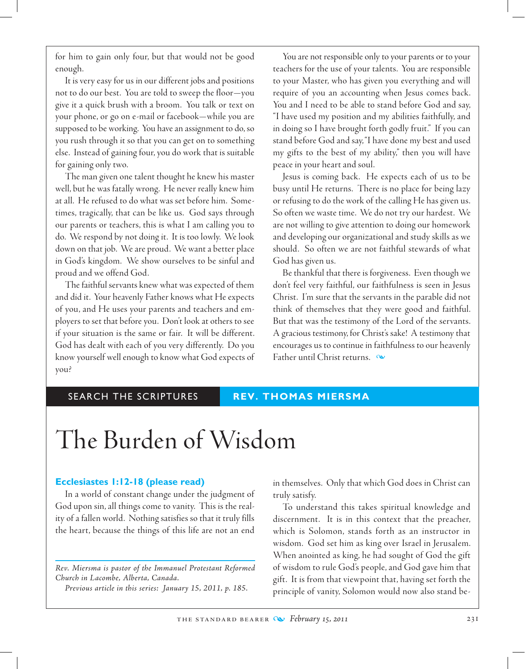for him to gain only four, but that would not be good enough.

It is very easy for us in our different jobs and positions not to do our best. You are told to sweep the floor—you give it a quick brush with a broom. You talk or text on your phone, or go on e-mail or facebook—while you are supposed to be working. You have an assignment to do, so you rush through it so that you can get on to something else. Instead of gaining four, you do work that is suitable for gaining only two.

The man given one talent thought he knew his master well, but he was fatally wrong. He never really knew him at all. He refused to do what was set before him. Sometimes, tragically, that can be like us. God says through our parents or teachers, this is what I am calling you to do. We respond by not doing it. It is too lowly. We look down on that job. We are proud. We want a better place in God's kingdom. We show ourselves to be sinful and proud and we offend God.

The faithful servants knew what was expected of them and did it. Your heavenly Father knows what He expects of you, and He uses your parents and teachers and employers to set that before you. Don't look at others to see if your situation is the same or fair. It will be different. God has dealt with each of you very differently. Do you know yourself well enough to know what God expects of you?

You are not responsible only to your parents or to your teachers for the use of your talents. You are responsible to your Master, who has given you everything and will require of you an accounting when Jesus comes back. You and I need to be able to stand before God and say, "I have used my position and my abilities faithfully, and in doing so I have brought forth godly fruit." If you can stand before God and say, "I have done my best and used my gifts to the best of my ability," then you will have peace in your heart and soul.

Jesus is coming back. He expects each of us to be busy until He returns. There is no place for being lazy or refusing to do the work of the calling He has given us. So often we waste time. We do not try our hardest. We are not willing to give attention to doing our homework and developing our organizational and study skills as we should. So often we are not faithful stewards of what God has given us.

Be thankful that there is forgiveness. Even though we don't feel very faithful, our faithfulness is seen in Jesus Christ. I'm sure that the servants in the parable did not think of themselves that they were good and faithful. But that was the testimony of the Lord of the servants. A gracious testimony, for Christ's sake! A testimony that encourages us to continue in faithfulness to our heavenly Father until Christ returns.  $\infty$ 

# SEARCH THE SCRIPTURES **REV. THOMAS MIERSMA**

# The Burden of Wisdom

## **Ecclesiastes 1:12-18 (please read)**

In a world of constant change under the judgment of God upon sin, all things come to vanity. This is the reality of a fallen world. Nothing satisfies so that it truly fills the heart, because the things of this life are not an end

*Rev. Miersma is pastor of the Immanuel Protestant Reformed Church in Lacombe, Alberta, Canada.*

*Previous article in this series: January 15, 2011, p. 185.*

in themselves. Only that which God does in Christ can truly satisfy.

To understand this takes spiritual knowledge and discernment. It is in this context that the preacher, which is Solomon, stands forth as an instructor in wisdom. God set him as king over Israel in Jerusalem. When anointed as king, he had sought of God the gift of wisdom to rule God's people, and God gave him that gift. It is from that viewpoint that, having set forth the principle of vanity, Solomon would now also stand be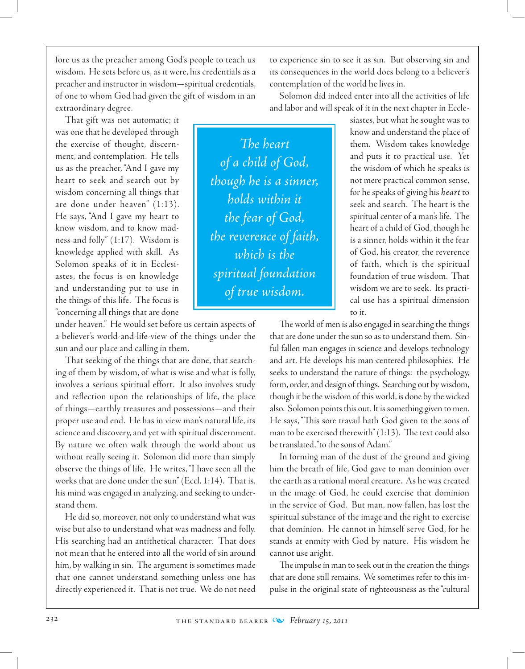fore us as the preacher among God's people to teach us wisdom. He sets before us, as it were, his credentials as a preacher and instructor in wisdom—spiritual credentials, of one to whom God had given the gift of wisdom in an extraordinary degree.

That gift was not automatic; it was one that he developed through the exercise of thought, discernment, and contemplation. He tells us as the preacher, "And I gave my heart to seek and search out by wisdom concerning all things that are done under heaven" (1:13). He says, "And I gave my heart to know wisdom, and to know madness and folly" (1:17). Wisdom is knowledge applied with skill. As Solomon speaks of it in Ecclesiastes, the focus is on knowledge and understanding put to use in the things of this life. The focus is "concerning all things that are done

under heaven." He would set before us certain aspects of a believer's world-and-life-view of the things under the sun and our place and calling in them.

That seeking of the things that are done, that searching of them by wisdom, of what is wise and what is folly, involves a serious spiritual effort. It also involves study and reflection upon the relationships of life, the place of things—earthly treasures and possessions—and their proper use and end. He has in view man's natural life, its science and discovery, and yet with spiritual discernment. By nature we often walk through the world about us without really seeing it. Solomon did more than simply observe the things of life. He writes, "I have seen all the works that are done under the sun" (Eccl. 1:14). That is, his mind was engaged in analyzing, and seeking to understand them.

He did so, moreover, not only to understand what was wise but also to understand what was madness and folly. His searching had an antithetical character. That does not mean that he entered into all the world of sin around him, by walking in sin. The argument is sometimes made that one cannot understand something unless one has directly experienced it. That is not true. We do not need

to experience sin to see it as sin. But observing sin and its consequences in the world does belong to a believer's contemplation of the world he lives in.

Solomon did indeed enter into all the activities of life and labor and will speak of it in the next chapter in Eccle-

*The heart of a child of God, though he is a sinner, holds within it the fear of God, the reverence of faith, which is the spiritual foundation of true wisdom.*

siastes, but what he sought was to know and understand the place of them. Wisdom takes knowledge and puts it to practical use. Yet the wisdom of which he speaks is not mere practical common sense, for he speaks of giving his *heart* to seek and search. The heart is the spiritual center of a man's life. The heart of a child of God, though he is a sinner, holds within it the fear of God, his creator, the reverence of faith, which is the spiritual foundation of true wisdom. That wisdom we are to seek. Its practical use has a spiritual dimension to it.

The world of men is also engaged in searching the things that are done under the sun so as to understand them. Sinful fallen man engages in science and develops technology and art. He develops his man-centered philosophies. He seeks to understand the nature of things: the psychology, form, order, and design of things. Searching out by wisdom, though it be the wisdom of this world, is done by the wicked also. Solomon points this out. It is something given to men. He says, "This sore travail hath God given to the sons of man to be exercised therewith" (1:13). The text could also be translated, "to the sons of Adam."

In forming man of the dust of the ground and giving him the breath of life, God gave to man dominion over the earth as a rational moral creature. As he was created in the image of God, he could exercise that dominion in the service of God. But man, now fallen, has lost the spiritual substance of the image and the right to exercise that dominion. He cannot in himself serve God, for he stands at enmity with God by nature. His wisdom he cannot use aright.

The impulse in man to seek out in the creation the things that are done still remains. We sometimes refer to this impulse in the original state of righteousness as the "cultural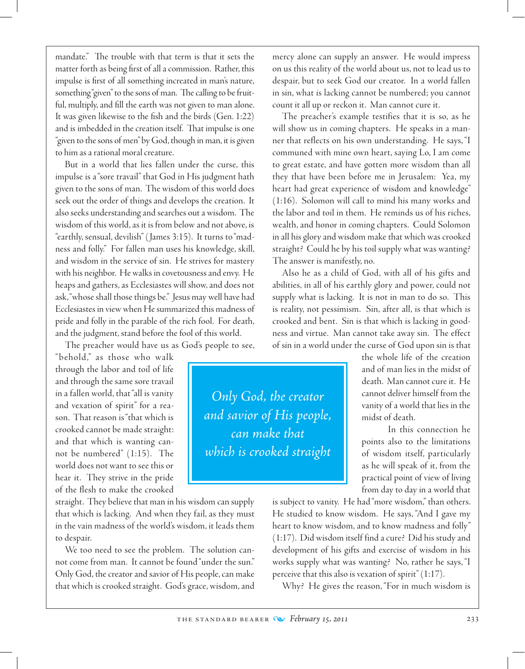mandate." The trouble with that term is that it sets the matter forth as being first of all a commission. Rather, this impulse is first of all something increated in man's nature, something "given" to the sons of man. The calling to be fruitful, multiply, and fill the earth was not given to man alone. It was given likewise to the fish and the birds (Gen. 1:22) and is imbedded in the creation itself. That impulse is one "given to the sons of men" by God, though in man, it is given to him as a rational moral creature.

But in a world that lies fallen under the curse, this impulse is a "sore travail" that God in His judgment hath given to the sons of man. The wisdom of this world does seek out the order of things and develops the creation. It also seeks understanding and searches out a wisdom. The wisdom of this world, as it is from below and not above, is "earthly, sensual, devilish" ( James 3:15). It turns to "madness and folly." For fallen man uses his knowledge, skill, and wisdom in the service of sin. He strives for mastery with his neighbor. He walks in covetousness and envy. He heaps and gathers, as Ecclesiastes will show, and does not ask, "whose shall those things be." Jesus may well have had Ecclesiastes in view when He summarized this madness of pride and folly in the parable of the rich fool. For death, and the judgment, stand before the fool of this world.

The preacher would have us as God's people to see,

" b ehold ," as those who walk through the labor and toil of life and through the same sore travail in a fallen world, that "all is vanity and vexation of spirit" for a reason. That reason is "that which is crooked cannot be made straight: and that which is wanting cannot be numbered" (1:15). The world does not want to see this or hear it. They strive in the pride of the flesh to make the crooked

straight. They believe that man in his wisdom can supply that which is lacking. And when they fail, as they must in the vain madness of the world's wisdom, it leads them to despair.

We too need to see the problem. The solution cannot come from man. It cannot be found "under the sun." Only God, the creator and savior of His people, can make that which is crooked straight. God's grace, wisdom, and mercy alone can supply an answer. He would impress on us this reality of the world about us, not to lead us to despair, but to seek God our creator. In a world fallen in sin, what is lacking cannot be numbered; you cannot count it all up or reckon it. Man cannot cure it.

The preacher's example testifies that it is so, as he will show us in coming chapters. He speaks in a manner that reflects on his own understanding. He says, "I communed with mine own heart, saying Lo, I am come to great estate, and have gotten more wisdom than all they that have been before me in Jerusalem: Yea, my heart had great experience of wisdom and knowledge" (1:16). Solomon will call to mind his many works and the labor and toil in them. He reminds us of his riches, wealth, and honor in coming chapters. Could Solomon in all his glory and wisdom make that which was crooked straight? Could he by his toil supply what was wanting? The answer is manifestly, no.

Also he as a child of God, with all of his gifts and abilities, in all of his earthly glory and power, could not supply what is lacking. It is not in man to do so. This is reality, not pessimism. Sin, after all, is that which is crooked and bent. Sin is that which is lacking in goodness and virtue. Man cannot take away sin. The effect of sin in a world under the curse of God upon sin is that

*Only God, the creator and savior of His people, can make that which is crooked straight*

the whole life of the creation and of man lies in the midst of death. Man cannot cure it. He cannot deliver himself from the vanity of a world that lies in the midst of death.

In this connection he points also to the limitations of wisdom itself, particularly as he will speak of it, from the practical point of view of living from day to day in a world that

is subject to vanity. He had "more wisdom," than others. He studied to know wisdom. He says, "And I gave my heart to know wisdom, and to know madness and folly" (1:17). Did wisdom itself find a cure? Did his study and development of his gifts and exercise of wisdom in his works supply what was wanting? No, rather he says, "I perceive that this also is vexation of spirit" (1:17).

Why? He gives the reason, "For in much wisdom is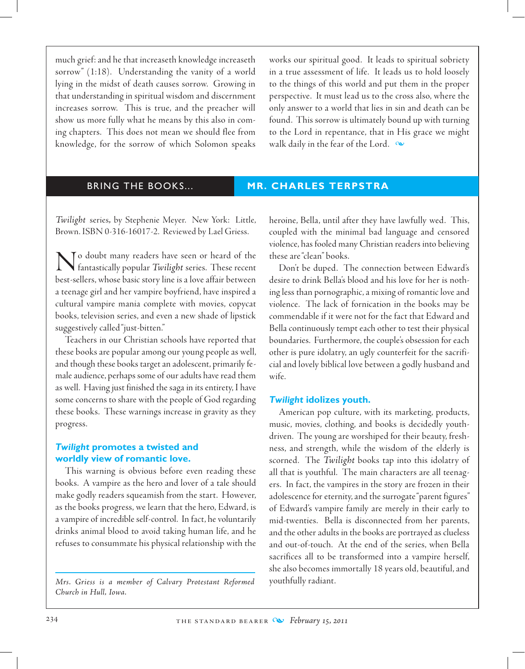much grief: and he that increaseth knowledge increaseth sorrow" (1:18). Understanding the vanity of a world lying in the midst of death causes sorrow. Growing in that understanding in spiritual wisdom and discernment increases sorrow. This is true, and the preacher will show us more fully what he means by this also in coming chapters. This does not mean we should flee from knowledge, for the sorrow of which Solomon speaks

works our spiritual good. It leads to spiritual sobriety in a true assessment of life. It leads us to hold loosely to the things of this world and put them in the proper perspective. It must lead us to the cross also, where the only answer to a world that lies in sin and death can be found. This sorrow is ultimately bound up with turning to the Lord in repentance, that in His grace we might walk daily in the fear of the Lord.  $\infty$ 

## BRING THE BOOKS... **MR. CHARLES TERPSTRA**

*Twilight* series*,* by Stephenie Meyer. New York: Little, Brown. ISBN 0-316-16017-2. Reviewed by Lael Griess.

No doubt many readers have seen or heard of the fantastically popular *Twilight* series. These recent best-sellers, whose basic story line is a love affair between a teenage girl and her vampire boyfriend, have inspired a cultural vampire mania complete with movies, copycat books, television series, and even a new shade of lipstick suggestively called "just-bitten."

Teachers in our Christian schools have reported that these books are popular among our young people as well, and though these books target an adolescent, primarily female audience, perhaps some of our adults have read them as well. Having just finished the saga in its entirety, I have some concerns to share with the people of God regarding these books. These warnings increase in gravity as they progress.

# *Twilight* **promotes a twisted and worldly view of romantic love.**

This warning is obvious before even reading these books. A vampire as the hero and lover of a tale should make godly readers squeamish from the start. However, as the books progress, we learn that the hero, Edward, is a vampire of incredible self-control. In fact, he voluntarily drinks animal blood to avoid taking human life, and he refuses to consummate his physical relationship with the

*Mrs. Griess is a member of Calvary Protestant Reformed Church in Hull, Iowa.*

heroine, Bella, until after they have lawfully wed. This, coupled with the minimal bad language and censored violence, has fooled many Christian readers into believing these are "clean" books.

Don't be duped. The connection between Edward's desire to drink Bella's blood and his love for her is nothing less than pornographic, a mixing of romantic love and violence. The lack of fornication in the books may be commendable if it were not for the fact that Edward and Bella continuously tempt each other to test their physical boundaries. Furthermore, the couple's obsession for each other is pure idolatry, an ugly counterfeit for the sacrificial and lovely biblical love between a godly husband and wife.

#### *Twilight* **idolizes youth.**

American pop culture, with its marketing, products, music, movies, clothing, and books is decidedly youthdriven. The young are worshiped for their beauty, freshness, and strength, while the wisdom of the elderly is scorned. The *Twilight* books tap into this idolatry of all that is youthful. The main characters are all teenagers. In fact, the vampires in the story are frozen in their adolescence for eternity, and the surrogate "parent figures" of Edward's vampire family are merely in their early to mid-twenties. Bella is disconnected from her parents, and the other adults in the books are portrayed as clueless and out-of-touch. At the end of the series, when Bella sacrifices all to be transformed into a vampire herself, she also becomes immortally 18 years old, beautiful, and youthfully radiant.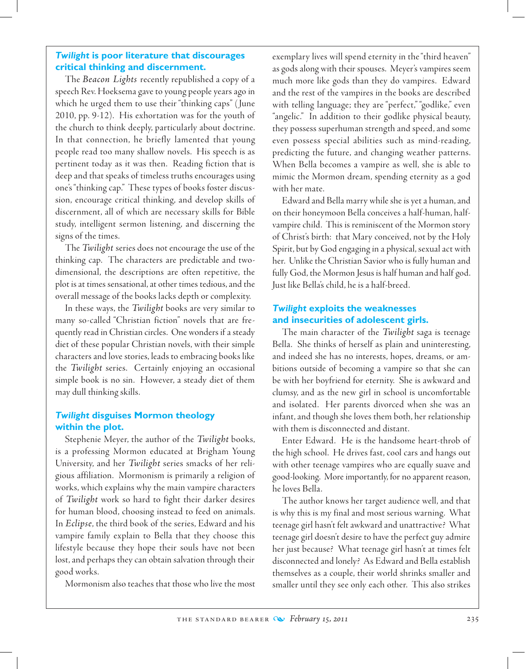# *Twilight* **is poor literature that discourages critical thinking and discernment.**

The *Beacon Lights* recently republished a copy of a speech Rev. Hoeksema gave to young people years ago in which he urged them to use their "thinking caps" ( June 2010, pp. 9-12). His exhortation was for the youth of the church to think deeply, particularly about doctrine. In that connection, he briefly lamented that young people read too many shallow novels. His speech is as pertinent today as it was then. Reading fiction that is deep and that speaks of timeless truths encourages using one's "thinking cap." These types of books foster discussion, encourage critical thinking, and develop skills of discernment, all of which are necessary skills for Bible study, intelligent sermon listening, and discerning the signs of the times.

The *Twilight* series does not encourage the use of the thinking cap. The characters are predictable and twodimensional, the descriptions are often repetitive, the plot is at times sensational, at other times tedious, and the overall message of the books lacks depth or complexity.

In these ways, the *Twilight* books are very similar to many so-called "Christian fiction" novels that are frequently read in Christian circles. One wonders if a steady diet of these popular Christian novels, with their simple characters and love stories, leads to embracing books like the *Twilight* series. Certainly enjoying an occasional simple book is no sin. However, a steady diet of them may dull thinking skills.

# *Twilight* **disguises Mormon theology within the plot.**

Stephenie Meyer, the author of the *Twilight* books, is a professing Mormon educated at Brigham Young University, and her *Twilight* series smacks of her religious affiliation. Mormonism is primarily a religion of works, which explains why the main vampire characters of *Twilight* work so hard to fight their darker desires for human blood, choosing instead to feed on animals. In *Eclipse*, the third book of the series, Edward and his vampire family explain to Bella that they choose this lifestyle because they hope their souls have not been lost, and perhaps they can obtain salvation through their good works.

Mormonism also teaches that those who live the most

exemplary lives will spend eternity in the "third heaven" as gods along with their spouses. Meyer's vampires seem much more like gods than they do vampires. Edward and the rest of the vampires in the books are described with telling language; they are "perfect," "godlike," even "angelic." In addition to their godlike physical beauty, they possess superhuman strength and speed, and some even possess special abilities such as mind-reading, predicting the future, and changing weather patterns. When Bella becomes a vampire as well, she is able to mimic the Mormon dream, spending eternity as a god with her mate.

 Edward and Bella marry while she is yet a human, and on their honeymoon Bella conceives a half-human, halfvampire child. This is reminiscent of the Mormon story of Christ's birth: that Mary conceived, not by the Holy Spirit, but by God engaging in a physical, sexual act with her. Unlike the Christian Savior who is fully human and fully God, the Mormon Jesus is half human and half god. Just like Bella's child, he is a half-breed.

# *Twilight* **exploits the weaknesses and insecurities of adolescent girls.**

The main character of the *Twilight* saga is teenage Bella. She thinks of herself as plain and uninteresting, and indeed she has no interests, hopes, dreams, or ambitions outside of becoming a vampire so that she can be with her boyfriend for eternity. She is awkward and clumsy, and as the new girl in school is uncomfortable and isolated. Her parents divorced when she was an infant, and though she loves them both, her relationship with them is disconnected and distant.

 Enter Edward. He is the handsome heart-throb of the high school. He drives fast, cool cars and hangs out with other teenage vampires who are equally suave and good-looking. More importantly, for no apparent reason, he loves Bella.

The author knows her target audience well, and that is why this is my final and most serious warning. What teenage girl hasn't felt awkward and unattractive? What teenage girl doesn't desire to have the perfect guy admire her just because? What teenage girl hasn't at times felt disconnected and lonely? As Edward and Bella establish themselves as a couple, their world shrinks smaller and smaller until they see only each other. This also strikes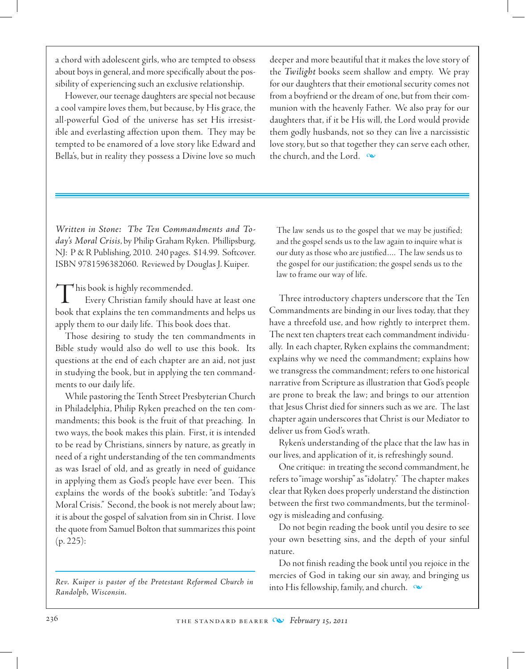a chord with adolescent girls, who are tempted to obsess about boys in general, and more specifically about the possibility of experiencing such an exclusive relationship.

However, our teenage daughters are special not because a cool vampire loves them, but because, by His grace, the all-powerful God of the universe has set His irresistible and everlasting affection upon them. They may be tempted to be enamored of a love story like Edward and Bella's, but in reality they possess a Divine love so much deeper and more beautiful that it makes the love story of the *Twilight* books seem shallow and empty. We pray for our daughters that their emotional security comes not from a boyfriend or the dream of one, but from their communion with the heavenly Father. We also pray for our daughters that, if it be His will, the Lord would provide them godly husbands, not so they can live a narcissistic love story, but so that together they can serve each other, the church, and the Lord.  $\infty$ 

*Written in Stone: The Ten Commandments and Today's Moral Crisis*, by Philip Graham Ryken. Phillipsburg, NJ: P & R Publishing, 2010. 240 pages. \$14.99. Softcover. ISBN 9781596382060. Reviewed by Douglas J. Kuiper.

This book is highly recommended.

Every Christian family should have at least one book that explains the ten commandments and helps us apply them to our daily life. This book does that.

Those desiring to study the ten commandments in Bible study would also do well to use this book. Its questions at the end of each chapter are an aid, not just in studying the book, but in applying the ten commandments to our daily life.

While pastoring the Tenth Street Presbyterian Church in Philadelphia, Philip Ryken preached on the ten commandments; this book is the fruit of that preaching. In two ways, the book makes this plain. First, it is intended to be read by Christians, sinners by nature, as greatly in need of a right understanding of the ten commandments as was Israel of old, and as greatly in need of guidance in applying them as God's people have ever been. This explains the words of the book's subtitle: "and Today's Moral Crisis." Second, the book is not merely about law; it is about the gospel of salvation from sin in Christ. I love the quote from Samuel Bolton that summarizes this point (p. 225):

*Rev. Kuiper is pastor of the Protestant Reformed Church in Randolph, Wisconsin.*

The law sends us to the gospel that we may be justified; and the gospel sends us to the law again to inquire what is our duty as those who are justified…. The law sends us to the gospel for our justification; the gospel sends us to the law to frame our way of life.

Three introductory chapters underscore that the Ten Commandments are binding in our lives today, that they have a threefold use, and how rightly to interpret them. The next ten chapters treat each commandment individually. In each chapter, Ryken explains the commandment; explains why we need the commandment; explains how we transgress the commandment; refers to one historical narrative from Scripture as illustration that God's people are prone to break the law; and brings to our attention that Jesus Christ died for sinners such as we are. The last chapter again underscores that Christ is our Mediator to deliver us from God's wrath.

Ryken's understanding of the place that the law has in our lives, and application of it, is refreshingly sound.

 One critique: in treating the second commandment, he refers to "image worship" as "idolatry." The chapter makes clear that Ryken does properly understand the distinction between the first two commandments, but the terminology is misleading and confusing.

Do not begin reading the book until you desire to see your own besetting sins, and the depth of your sinful nature.

Do not finish reading the book until you rejoice in the mercies of God in taking our sin away, and bringing us into His fellowship, family, and church.  $\infty$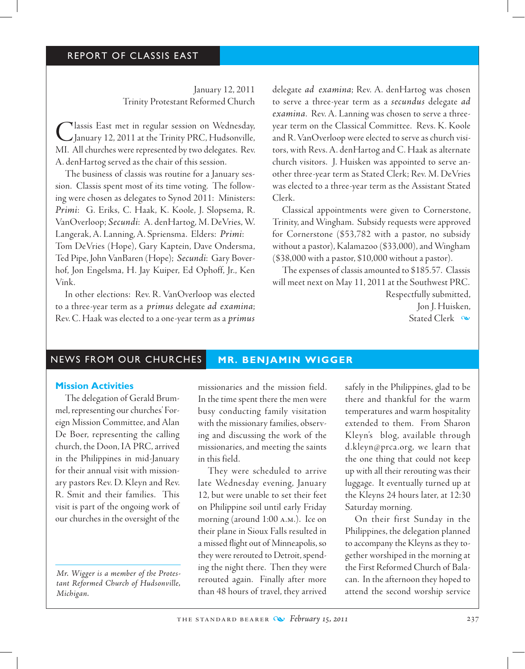## REPORT OF CLASSIS EAST

January 12, 2011 Trinity Protestant Reformed Church

Classis East met in regular session on Wednesday,<br>
January 12, 2011 at the Trinity PRC, Hudsonville, MI. All churches were represented by two delegates. Rev. A. denHartog served as the chair of this session.

The business of classis was routine for a January session. Classis spent most of its time voting. The following were chosen as delegates to Synod 2011: Ministers: *Primi*: G. Eriks, C. Haak, K. Koole, J. Slopsema, R. VanOverloop; *Secundi*: A. denHartog, M. DeVries, W. Langerak, A. Lanning, A. Spriensma. Elders: *Primi*:

Tom DeVries (Hope), Gary Kaptein, Dave Ondersma, Ted Pipe, John VanBaren (Hope); *Secundi*: Gary Boverhof, Jon Engelsma, H. Jay Kuiper, Ed Ophoff, Jr., Ken Vink.

In other elections: Rev. R. VanOverloop was elected to a three-year term as a *primus* delegate *ad examina*; Rev. C. Haak was elected to a one-year term as a *primus*  delegate *ad examina*; Rev. A. denHartog was chosen to serve a three-year term as a *secundus* delegate *ad examina*. Rev. A. Lanning was chosen to serve a threeyear term on the Classical Committee. Revs. K. Koole and R. VanOverloop were elected to serve as church visitors, with Revs. A. denHartog and C. Haak as alternate church visitors. J. Huisken was appointed to serve another three-year term as Stated Clerk; Rev. M. DeVries was elected to a three-year term as the Assistant Stated Clerk.

Classical appointments were given to Cornerstone, Trinity, and Wingham. Subsidy requests were approved for Cornerstone (\$53,782 with a pastor, no subsidy without a pastor), Kalamazoo (\$33,000), and Wingham (\$38,000 with a pastor, \$10,000 without a pastor).

The expenses of classis amounted to \$185.57. Classis will meet next on May 11, 2011 at the Southwest PRC.

> Respectfully submitted, Jon J. Huisken, Stated Clerk  $\infty$

# NEWS FROM OUR CHURCHES **MR. BENJAMIN WIGGER**

### **Mission Activities**

The delegation of Gerald Brummel, representing our churches' Foreign Mission Committee, and Alan De Boer, representing the calling church, the Doon, IA PRC, arrived in the Philippines in mid-January for their annual visit with missionary pastors Rev. D. Kleyn and Rev. R. Smit and their families. This visit is part of the ongoing work of our churches in the oversight of the

*Mr. Wigger is a member of the Protestant Reformed Church of Hudsonville, Michigan.*

missionaries and the mission field. In the time spent there the men were busy conducting family visitation with the missionary families, observing and discussing the work of the missionaries, and meeting the saints in this field.

They were scheduled to arrive late Wednesday evening, January 12, but were unable to set their feet on Philippine soil until early Friday morning (around 1:00 a.m.). Ice on their plane in Sioux Falls resulted in a missed flight out of Minneapolis, so they were rerouted to Detroit, spending the night there. Then they were rerouted again. Finally after more than 48 hours of travel, they arrived safely in the Philippines, glad to be there and thankful for the warm temperatures and warm hospitality extended to them. From Sharon Kleyn's blog, available through d.kleyn@prca.org, we learn that the one thing that could not keep up with all their rerouting was their luggage. It eventually turned up at the Kleyns 24 hours later, at 12:30 Saturday morning.

On their first Sunday in the Philippines, the delegation planned to accompany the Kleyns as they together worshiped in the morning at the First Reformed Church of Balacan. In the afternoon they hoped to attend the second worship service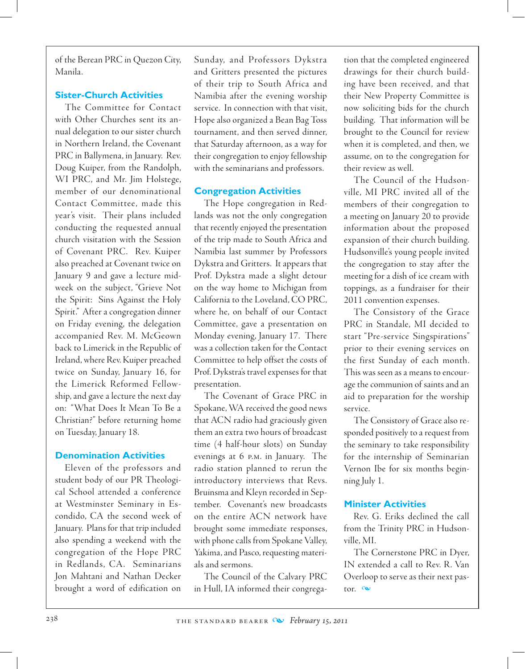of the Berean PRC in Quezon City, Manila.

# **Sister-Church Activities**

The Committee for Contact with Other Churches sent its annual delegation to our sister church in Northern Ireland, the Covenant PRC in Ballymena, in January. Rev. Doug Kuiper, from the Randolph, WI PRC, and Mr. Jim Holstege, member of our denominational Contact Committee, made this year's visit. Their plans included conducting the requested annual church visitation with the Session of Covenant PRC. Rev. Kuiper also preached at Covenant twice on January 9 and gave a lecture midweek on the subject, "Grieve Not the Spirit: Sins Against the Holy Spirit." After a congregation dinner on Friday evening, the delegation accompanied Rev. M. McGeown back to Limerick in the Republic of Ireland, where Rev. Kuiper preached twice on Sunday, January 16, for the Limerick Reformed Fellowship, and gave a lecture the next day on: "What Does It Mean To Be a Christian?" before returning home on Tuesday, January 18.

# **Denomination Activities**

Eleven of the professors and student body of our PR Theological School attended a conference at Westminster Seminary in Escondido, CA the second week of January. Plans for that trip included also spending a weekend with the congregation of the Hope PRC in Redlands, CA. Seminarians Jon Mahtani and Nathan Decker brought a word of edification on

Sunday, and Professors Dykstra and Gritters presented the pictures of their trip to South Africa and Namibia after the evening worship service. In connection with that visit, Hope also organized a Bean Bag Toss tournament, and then served dinner, that Saturday afternoon, as a way for their congregation to enjoy fellowship with the seminarians and professors.

# **Congregation Activities**

The Hope congregation in Redlands was not the only congregation that recently enjoyed the presentation of the trip made to South Africa and Namibia last summer by Professors Dykstra and Gritters. It appears that Prof. Dykstra made a slight detour on the way home to Michigan from California to the Loveland, CO PRC, where he, on behalf of our Contact Committee, gave a presentation on Monday evening, January 17. There was a collection taken for the Contact Committee to help offset the costs of Prof. Dykstra's travel expenses for that presentation.

The Covenant of Grace PRC in Spokane, WA received the good news that ACN radio had graciously given them an extra two hours of broadcast time (4 half-hour slots) on Sunday evenings at 6 p.m. in January. The radio station planned to rerun the introductory interviews that Revs. Bruinsma and Kleyn recorded in September. Covenant's new broadcasts on the entire ACN network have brought some immediate responses, with phone calls from Spokane Valley, Yakima, and Pasco, requesting materials and sermons.

The Council of the Calvary PRC in Hull, IA informed their congrega-

tion that the completed engineered drawings for their church building have been received, and that their New Property Committee is now soliciting bids for the church building. That information will be brought to the Council for review when it is completed, and then, we assume, on to the congregation for their review as well.

The Council of the Hudsonville, MI PRC invited all of the members of their congregation to a meeting on January 20 to provide information about the proposed expansion of their church building. Hudsonville's young people invited the congregation to stay after the meeting for a dish of ice cream with toppings, as a fundraiser for their 2011 convention expenses.

The Consistory of the Grace PRC in Standale, MI decided to start "Pre-service Singspirations" prior to their evening services on the first Sunday of each month. This was seen as a means to encourage the communion of saints and an aid to preparation for the worship service.

The Consistory of Grace also responded positively to a request from the seminary to take responsibility for the internship of Seminarian Vernon Ibe for six months beginning July 1.

# **Minister Activities**

Rev. G. Eriks declined the call from the Trinity PRC in Hudsonville, MI.

The Cornerstone PRC in Dyer, IN extended a call to Rev. R. Van Overloop to serve as their next pastor.  $\infty$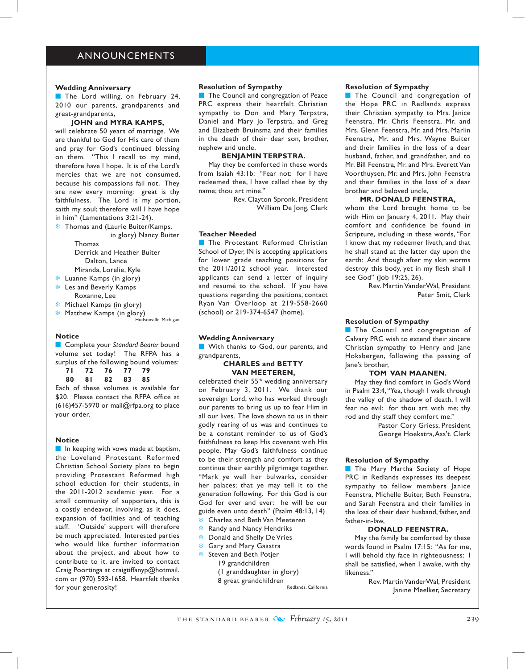### ANNOUNCEMENTS

#### **Wedding Anniversary**

The Lord willing, on February 24, 2010 our parents, grandparents and great-grandparents,

#### **JOHN and MYRA KAMPS,**

will celebrate 50 years of marriage. We are thankful to God for His care of them and pray for God's continued blessing on them. "This I recall to my mind, therefore have I hope. It is of the Lord's mercies that we are not consumed, because his compassions fail not. They are new every morning: great is thy faithfulness. The Lord is my portion, saith my soul; therefore will I have hope in him" (Lamentations 3:21-24).

**<sup>#</sup>** Thomas and (Laurie Buiter/Kamps, in glory) Nancy Buiter

> Thomas Derrick and Heather Buiter Dalton, Lance

Miranda, Lorelie, Kyle

**& Luanne Kamps (in glory)** 

- **& Les and Beverly Kamps** Roxanne, Lee
- **<sup>#</sup>** Michael Kamps (in glory)
- **Matthew Kamps (in glory)**

Hudsonville, Michigan

#### **Notice**

**n** Complete your *Standard Bearer* bound volume set today! The RFPA has a surplus of the following bound volumes:

**71 72 76 77 79 80 81 82 83 85**

Each of these volumes is available for \$20. Please contact the RFPA office at (616)457-5970 or mail@rfpa.org to place your order.

#### **Notice**

 $\blacksquare$  In keeping with vows made at baptism, the Loveland Protestant Reformed Christian School Society plans to begin providing Protestant Reformed high school eduction for their students, in the 2011-2012 academic year. For a small community of supporters, this is a costly endeavor, involving, as it does, expansion of facilities and of teaching staff. 'Outside' support will therefore be much appreciated. Interested parties who would like further information about the project, and about how to contribute to it, are invited to contact Craig Poortinga at craigtiffanyp@hotmail. com or (970) 593-1658. Heartfelt thanks for your generosity!

#### **Resolution of Sympathy**

**n** The Council and congregation of Peace PRC express their heartfelt Christian sympathy to Don and Mary Terpstra, Daniel and Mary Jo Terpstra, and Greg and Elizabeth Bruinsma and their families in the death of their dear son, brother, nephew and uncle,

#### **Benjamin Terpstra.**

May they be comforted in these words from Isaiah 43:1b: "Fear not: for I have redeemed thee, I have called thee by thy name; thou art mine."

> Rev. Clayton Spronk, President William De Jong, Clerk

#### **Teacher Needed**

**n** The Protestant Reformed Christian School of Dyer, IN is accepting applications for lower grade teaching positions for the 2011/2012 school year. Interested applicants can send a letter of inquiry and resumé to the school. If you have questions regarding the positions, contact Ryan Van Overloop at 219-558-2660 (school) or 219-374-6547 (home).

#### **Wedding Anniversary**

**No With thanks to God, our parents, and** grandparents,

#### **CHARLES and BETTY VAN MEETEREN,**

celebrated their 55th wedding anniversary on February 3, 2011. We thank our sovereign Lord, who has worked through our parents to bring us up to fear Him in all our lives. The love shown to us in their godly rearing of us was and continues to be a constant reminder to us of God's faithfulness to keep His covenant with His people. May God's faithfulness continue to be their strength and comfort as they continue their earthly pilgrimage together. "Mark ye well her bulwarks, consider her palaces; that ye may tell it to the generation following. For this God is our God for ever and ever: he will be our guide even unto death" (Psalm 48:13, 14) Charles and Beth Van Meeteren

- 
- **& Randy and Nancy Hendriks**
- **EXALUATE:** Donald and Shelly De Vries
- **& Gary and Mary Gaastra**
- **Steven and Beth Potjer** 
	- 19 grandchildren (1 granddaughter in glory)
		- 8 great grandchildren

Redlands, California

#### **Resolution of Sympathy**

**n** The Council and congregation of the Hope PRC in Redlands express their Christian sympathy to Mrs. Janice Feenstra, Mr. Chris Feenstra, Mr. and Mrs. Glenn Feenstra, Mr. and Mrs. Marlin Feenstra, Mr. and Mrs. Wayne Buiter and their families in the loss of a dear husband, father, and grandfather, and to Mr. Bill Feenstra, Mr. and Mrs. Everett Van Voorthuysen, Mr. and Mrs. John Feenstra and their families in the loss of a dear brother and beloved uncle,

#### **MR. DONALD FEENSTRA,**

whom the Lord brought home to be with Him on January 4, 2011. May their comfort and confidence be found in Scripture, including in these words, "For I know that my redeemer liveth, and that he shall stand at the latter day upon the earth: And though after my skin worms destroy this body, yet in my flesh shall I see God" (Job 19:25, 26).

Rev. Martin VanderWal, President Peter Smit, Clerk

#### **Resolution of Sympathy**

**n** The Council and congregation of Calvary PRC wish to extend their sincere Christian sympathy to Henry and Jane Hoksbergen, following the passing of Jane's brother,

#### **TOM VAN MAANEN.**

May they find comfort in God's Word in Psalm 23:4, "Yea, though I walk through the valley of the shadow of death, I will fear no evil: for thou art with me; thy rod and thy staff they comfort me."

> Pastor Cory Griess, President George Hoekstra, Ass't. Clerk

#### **Resolution of Sympathy**

**n** The Mary Martha Society of Hope PRC in Redlands expresses its deepest sympathy to fellow members Janice Feenstra, Michelle Buiter, Beth Feenstra, and Sarah Feenstra and their families in the loss of their dear husband, father, and father-in-law,

#### **DONALD FEENSTRA.**

May the family be comforted by these words found in Psalm 17:15: "As for me, I will behold thy face in righteousness: I shall be satisfied, when I awake, with thy likeness."

Rev. Martin VanderWal, President Janine Meelker, Secretary